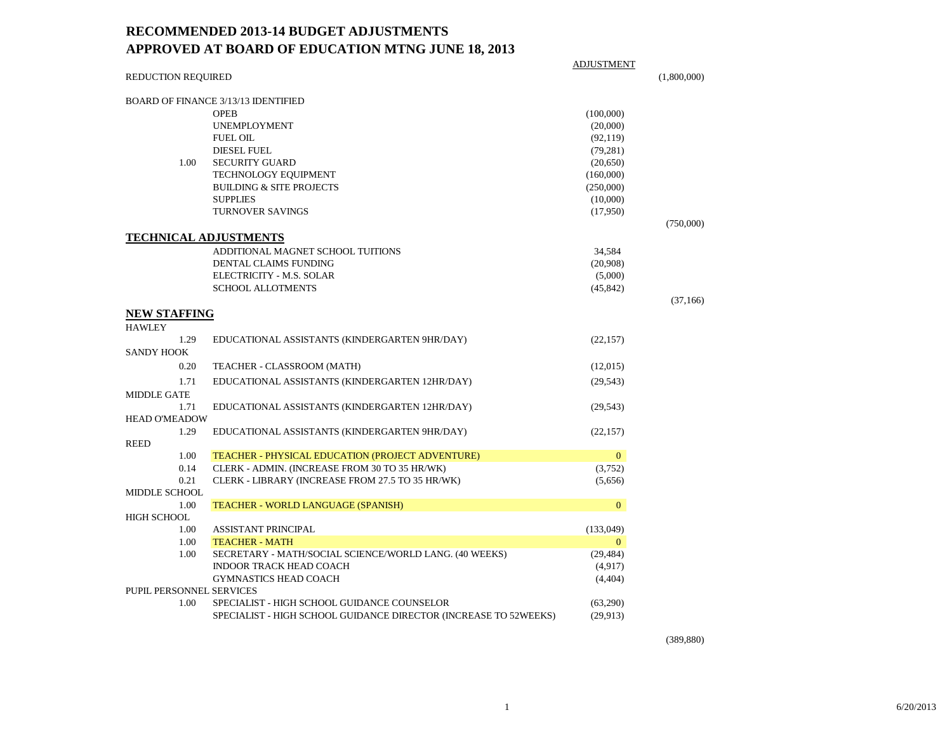## **RECOMMENDED 2013-14 BUDGET ADJUSTMENTS APPROVED AT BOARD OF EDUCATION MTNG JUNE 18, 2013**

|                          |                                                                  | <b>ADJUSTMENT</b> |             |
|--------------------------|------------------------------------------------------------------|-------------------|-------------|
| REDUCTION REQUIRED       |                                                                  |                   | (1,800,000) |
|                          | BOARD OF FINANCE 3/13/13 IDENTIFIED                              |                   |             |
|                          | <b>OPEB</b>                                                      | (100,000)         |             |
|                          | <b>UNEMPLOYMENT</b>                                              | (20,000)          |             |
|                          | <b>FUEL OIL</b>                                                  | (92, 119)         |             |
|                          | <b>DIESEL FUEL</b>                                               | (79, 281)         |             |
| 1.00                     | <b>SECURITY GUARD</b>                                            | (20,650)          |             |
|                          | TECHNOLOGY EQUIPMENT                                             | (160,000)         |             |
|                          | <b>BUILDING &amp; SITE PROJECTS</b>                              | (250,000)         |             |
|                          | <b>SUPPLIES</b>                                                  | (10,000)          |             |
|                          | <b>TURNOVER SAVINGS</b>                                          | (17,950)          |             |
|                          |                                                                  |                   | (750,000)   |
|                          | <b>TECHNICAL ADJUSTMENTS</b>                                     |                   |             |
|                          | ADDITIONAL MAGNET SCHOOL TUITIONS                                | 34,584            |             |
|                          | DENTAL CLAIMS FUNDING                                            | (20,908)          |             |
|                          | ELECTRICITY - M.S. SOLAR                                         | (5,000)           |             |
|                          | <b>SCHOOL ALLOTMENTS</b>                                         | (45, 842)         |             |
|                          |                                                                  |                   | (37,166)    |
| <b>NEW STAFFING</b>      |                                                                  |                   |             |
| <b>HAWLEY</b>            |                                                                  |                   |             |
| 1.29                     | EDUCATIONAL ASSISTANTS (KINDERGARTEN 9HR/DAY)                    | (22, 157)         |             |
| <b>SANDY HOOK</b>        |                                                                  |                   |             |
| 0.20                     | TEACHER - CLASSROOM (MATH)                                       | (12,015)          |             |
| 1.71                     | EDUCATIONAL ASSISTANTS (KINDERGARTEN 12HR/DAY)                   | (29, 543)         |             |
| <b>MIDDLE GATE</b>       |                                                                  |                   |             |
| 1.71                     | EDUCATIONAL ASSISTANTS (KINDERGARTEN 12HR/DAY)                   | (29, 543)         |             |
| <b>HEAD O'MEADOW</b>     |                                                                  |                   |             |
| 1.29                     | EDUCATIONAL ASSISTANTS (KINDERGARTEN 9HR/DAY)                    | (22, 157)         |             |
| <b>REED</b>              |                                                                  |                   |             |
| 1.00                     | TEACHER - PHYSICAL EDUCATION (PROJECT ADVENTURE)                 | $\mathbf{0}$      |             |
| 0.14                     | CLERK - ADMIN. (INCREASE FROM 30 TO 35 HR/WK)                    | (3,752)           |             |
| 0.21                     | CLERK - LIBRARY (INCREASE FROM 27.5 TO 35 HR/WK)                 | (5,656)           |             |
| <b>MIDDLE SCHOOL</b>     |                                                                  |                   |             |
| 1.00                     | <b>TEACHER - WORLD LANGUAGE (SPANISH)</b>                        | $\mathbf{0}$      |             |
| <b>HIGH SCHOOL</b>       |                                                                  |                   |             |
| 1.00                     | <b>ASSISTANT PRINCIPAL</b>                                       | (133,049)         |             |
| 1.00                     | <b>TEACHER - MATH</b>                                            | $\mathbf{0}$      |             |
| 1.00                     | SECRETARY - MATH/SOCIAL SCIENCE/WORLD LANG. (40 WEEKS)           | (29, 484)         |             |
|                          | <b>INDOOR TRACK HEAD COACH</b>                                   | (4,917)           |             |
|                          | <b>GYMNASTICS HEAD COACH</b>                                     | (4,404)           |             |
| PUPIL PERSONNEL SERVICES |                                                                  |                   |             |
| 1.00                     | SPECIALIST - HIGH SCHOOL GUIDANCE COUNSELOR                      | (63,290)          |             |
|                          | SPECIALIST - HIGH SCHOOL GUIDANCE DIRECTOR (INCREASE TO 52WEEKS) | (29, 913)         |             |

(389,880)